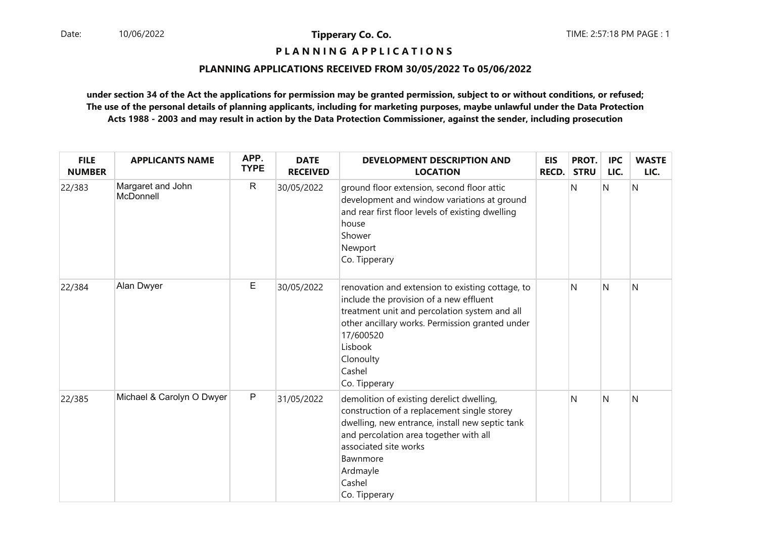## **P L A N N I N G A P P L I C A T I O N S**

### **PLANNING APPLICATIONS RECEIVED FROM 30/05/2022 To 05/06/2022**

| <b>FILE</b><br><b>NUMBER</b> | <b>APPLICANTS NAME</b>         | APP.<br><b>TYPE</b> | <b>DATE</b><br><b>RECEIVED</b> | <b>DEVELOPMENT DESCRIPTION AND</b><br><b>LOCATION</b>                                                                                                                                                                                                             | <b>EIS</b><br>RECD. | PROT.<br><b>STRU</b> | <b>IPC</b><br>LIC. | <b>WASTE</b><br>LIC. |
|------------------------------|--------------------------------|---------------------|--------------------------------|-------------------------------------------------------------------------------------------------------------------------------------------------------------------------------------------------------------------------------------------------------------------|---------------------|----------------------|--------------------|----------------------|
| 22/383                       | Margaret and John<br>McDonnell | $\mathsf{R}$        | 30/05/2022                     | ground floor extension, second floor attic<br>development and window variations at ground<br>and rear first floor levels of existing dwelling<br>house<br>Shower<br>Newport<br>Co. Tipperary                                                                      |                     | N                    | N                  | $\mathsf{N}$         |
| 22/384                       | Alan Dwyer                     | E                   | 30/05/2022                     | renovation and extension to existing cottage, to<br>include the provision of a new effluent<br>treatment unit and percolation system and all<br>other ancillary works. Permission granted under<br>17/600520<br>Lisbook<br>Clonoulty<br>Cashel<br>Co. Tipperary   |                     | N                    | N                  | $\mathsf{N}$         |
| 22/385                       | Michael & Carolyn O Dwyer      | $\mathsf P$         | 31/05/2022                     | demolition of existing derelict dwelling,<br>construction of a replacement single storey<br>dwelling, new entrance, install new septic tank<br>and percolation area together with all<br>associated site works<br>Bawnmore<br>Ardmayle<br>Cashel<br>Co. Tipperary |                     | N                    | $\mathsf{N}$       | $\mathsf{N}$         |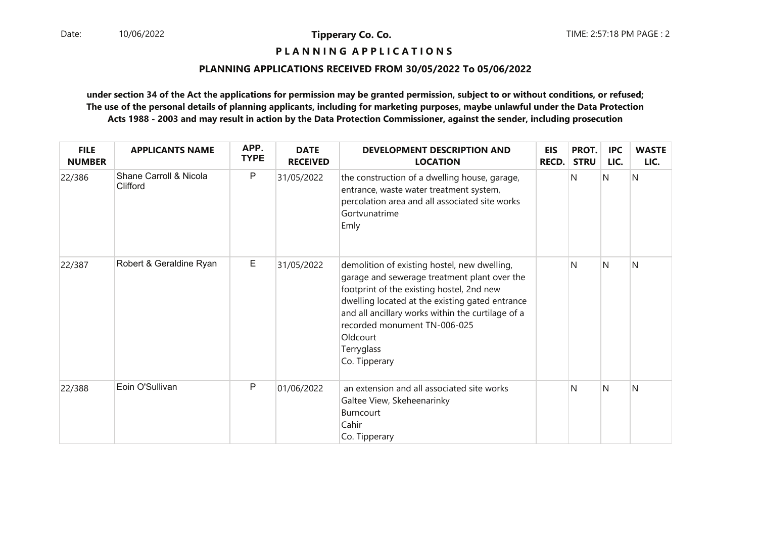### **P L A N N I N G A P P L I C A T I O N S**

### **PLANNING APPLICATIONS RECEIVED FROM 30/05/2022 To 05/06/2022**

| <b>FILE</b><br><b>NUMBER</b> | <b>APPLICANTS NAME</b>             | APP.<br><b>TYPE</b> | <b>DATE</b><br><b>RECEIVED</b> | <b>DEVELOPMENT DESCRIPTION AND</b><br><b>LOCATION</b>                                                                                                                                                                                                                                                                        | <b>EIS</b><br><b>RECD.</b> | PROT.<br><b>STRU</b> | <b>IPC</b><br>LIC. | <b>WASTE</b><br>LIC. |
|------------------------------|------------------------------------|---------------------|--------------------------------|------------------------------------------------------------------------------------------------------------------------------------------------------------------------------------------------------------------------------------------------------------------------------------------------------------------------------|----------------------------|----------------------|--------------------|----------------------|
| 22/386                       | Shane Carroll & Nicola<br>Clifford | P                   | 31/05/2022                     | the construction of a dwelling house, garage,<br>entrance, waste water treatment system,<br>percolation area and all associated site works<br>Gortvunatrime<br>Emly                                                                                                                                                          |                            | N                    | N                  | N                    |
| 22/387                       | Robert & Geraldine Ryan            | E                   | 31/05/2022                     | demolition of existing hostel, new dwelling,<br>garage and sewerage treatment plant over the<br>footprint of the existing hostel, 2nd new<br>dwelling located at the existing gated entrance<br>and all ancillary works within the curtilage of a<br>recorded monument TN-006-025<br>Oldcourt<br>Terryglass<br>Co. Tipperary |                            | N                    | N                  | N                    |
| 22/388                       | Eoin O'Sullivan                    | P                   | 01/06/2022                     | an extension and all associated site works<br>Galtee View, Skeheenarinky<br><b>Burncourt</b><br>Cahir<br>Co. Tipperary                                                                                                                                                                                                       |                            | N                    | N                  | N                    |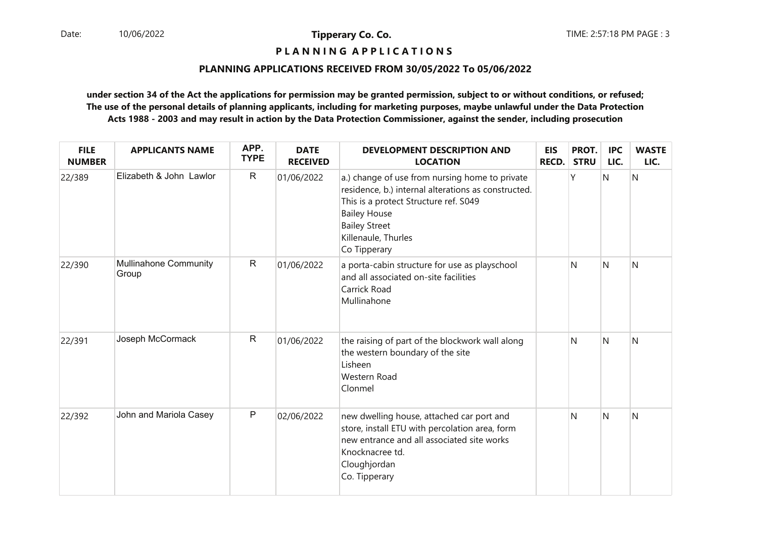**P L A N N I N G A P P L I C A T I O N S** 

### **PLANNING APPLICATIONS RECEIVED FROM 30/05/2022 To 05/06/2022**

| <b>FILE</b><br><b>NUMBER</b> | <b>APPLICANTS NAME</b>                | APP.<br><b>TYPE</b> | <b>DATE</b><br><b>RECEIVED</b> | <b>DEVELOPMENT DESCRIPTION AND</b><br><b>LOCATION</b>                                                                                                                                                                                | <b>EIS</b><br>RECD. | PROT.<br><b>STRU</b> | <b>IPC</b><br>LIC. | <b>WASTE</b><br>LIC. |
|------------------------------|---------------------------------------|---------------------|--------------------------------|--------------------------------------------------------------------------------------------------------------------------------------------------------------------------------------------------------------------------------------|---------------------|----------------------|--------------------|----------------------|
| 22/389                       | Elizabeth & John Lawlor               | $\mathsf{R}$        | 01/06/2022                     | a.) change of use from nursing home to private<br>residence, b.) internal alterations as constructed.<br>This is a protect Structure ref. S049<br><b>Bailey House</b><br><b>Bailey Street</b><br>Killenaule, Thurles<br>Co Tipperary |                     | γ                    | N                  | N                    |
| 22/390                       | <b>Mullinahone Community</b><br>Group | ${\sf R}$           | 01/06/2022                     | a porta-cabin structure for use as playschool<br>and all associated on-site facilities<br>Carrick Road<br>Mullinahone                                                                                                                |                     | N                    | N                  | N                    |
| 22/391                       | Joseph McCormack                      | $\mathsf{R}$        | 01/06/2022                     | the raising of part of the blockwork wall along<br>the western boundary of the site<br>Lisheen<br>Western Road<br>Clonmel                                                                                                            |                     | N                    | N                  | N                    |
| 22/392                       | John and Mariola Casey                | $\mathsf P$         | 02/06/2022                     | new dwelling house, attached car port and<br>store, install ETU with percolation area, form<br>new entrance and all associated site works<br>Knocknacree td.<br>Cloughjordan<br>Co. Tipperary                                        |                     | N                    | N                  | N                    |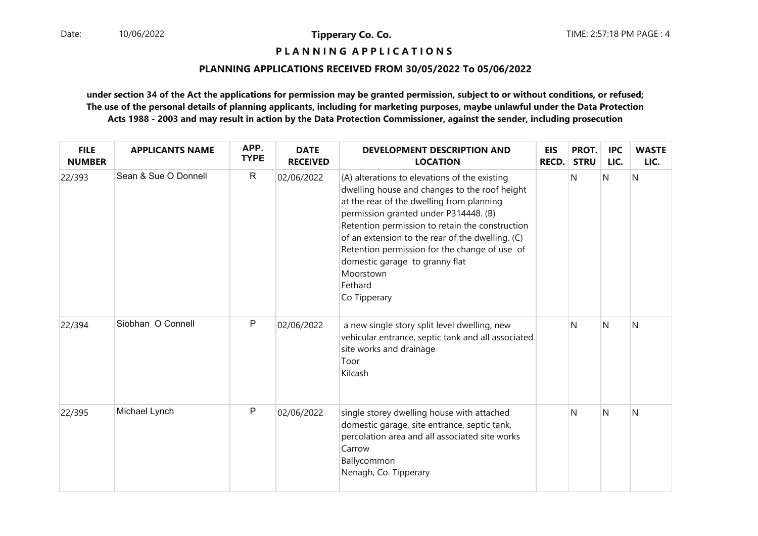### **P L A N N I N G A P P L I C A T I O N S**

### **PLANNING APPLICATIONS RECEIVED FROM 30/05/2022 To 05/06/2022**

| <b>FILE</b><br><b>NUMBER</b> | <b>APPLICANTS NAME</b> | APP.<br><b>TYPE</b> | <b>DATE</b><br><b>RECEIVED</b> | <b>DEVELOPMENT DESCRIPTION AND</b><br><b>LOCATION</b>                                                                                                                                                                                                                                                                                                                                                                  | <b>EIS</b><br>RECD. | PROT.<br><b>STRU</b> | <b>IPC</b><br>LIC. | <b>WASTE</b><br>LIC. |
|------------------------------|------------------------|---------------------|--------------------------------|------------------------------------------------------------------------------------------------------------------------------------------------------------------------------------------------------------------------------------------------------------------------------------------------------------------------------------------------------------------------------------------------------------------------|---------------------|----------------------|--------------------|----------------------|
| 22/393                       | Sean & Sue O Donnell   | $\mathsf{R}$        | 02/06/2022                     | (A) alterations to elevations of the existing<br>dwelling house and changes to the roof height<br>at the rear of the dwelling from planning<br>permission granted under P314448. (B)<br>Retention permission to retain the construction<br>of an extension to the rear of the dwelling. (C)<br>Retention permission for the change of use of<br>domestic garage to granny flat<br>Moorstown<br>Fethard<br>Co Tipperary |                     | N                    | Ν                  | N                    |
| 22/394                       | Siobhan O Connell      | P                   | 02/06/2022                     | a new single story split level dwelling, new<br>vehicular entrance, septic tank and all associated<br>site works and drainage<br>Toor<br>Kilcash                                                                                                                                                                                                                                                                       |                     | N                    | N                  | N                    |
| 22/395                       | Michael Lynch          | P                   | 02/06/2022                     | single storey dwelling house with attached<br>domestic garage, site entrance, septic tank,<br>percolation area and all associated site works<br>Carrow<br>Ballycommon<br>Nenagh, Co. Tipperary                                                                                                                                                                                                                         |                     | N                    | N                  | N                    |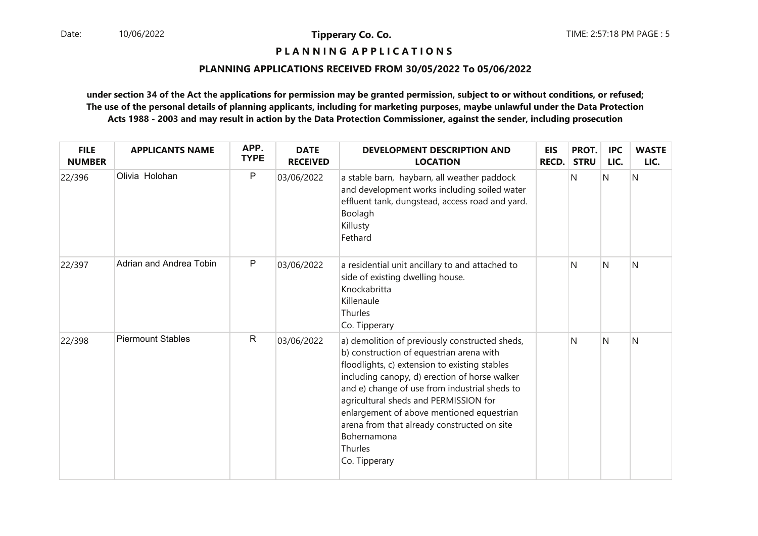**P L A N N I N G A P P L I C A T I O N S** 

### **PLANNING APPLICATIONS RECEIVED FROM 30/05/2022 To 05/06/2022**

| <b>FILE</b><br><b>NUMBER</b> | <b>APPLICANTS NAME</b>   | APP.<br><b>TYPE</b> | <b>DATE</b><br><b>RECEIVED</b> | <b>DEVELOPMENT DESCRIPTION AND</b><br><b>LOCATION</b>                                                                                                                                                                                                                                                                                                                                                                         | <b>EIS</b><br>RECD. | PROT.<br><b>STRU</b> | <b>IPC</b><br>LIC. | <b>WASTE</b><br>LIC. |
|------------------------------|--------------------------|---------------------|--------------------------------|-------------------------------------------------------------------------------------------------------------------------------------------------------------------------------------------------------------------------------------------------------------------------------------------------------------------------------------------------------------------------------------------------------------------------------|---------------------|----------------------|--------------------|----------------------|
| 22/396                       | Olivia Holohan           | P                   | 03/06/2022                     | a stable barn, haybarn, all weather paddock<br>and development works including soiled water<br>effluent tank, dungstead, access road and yard.<br>Boolagh<br>Killusty<br>Fethard                                                                                                                                                                                                                                              |                     | N                    | $\mathsf{N}$       | N                    |
| 22/397                       | Adrian and Andrea Tobin  | ${\sf P}$           | 03/06/2022                     | a residential unit ancillary to and attached to<br>side of existing dwelling house.<br>Knockabritta<br>Killenaule<br>Thurles<br>Co. Tipperary                                                                                                                                                                                                                                                                                 |                     | N                    | N                  | N                    |
| 22/398                       | <b>Piermount Stables</b> | $\mathsf{R}$        | 03/06/2022                     | a) demolition of previously constructed sheds,<br>b) construction of equestrian arena with<br>floodlights, c) extension to existing stables<br>including canopy, d) erection of horse walker<br>and e) change of use from industrial sheds to<br>agricultural sheds and PERMISSION for<br>enlargement of above mentioned equestrian<br>arena from that already constructed on site<br>Bohernamona<br>Thurles<br>Co. Tipperary |                     | N                    | N                  | N                    |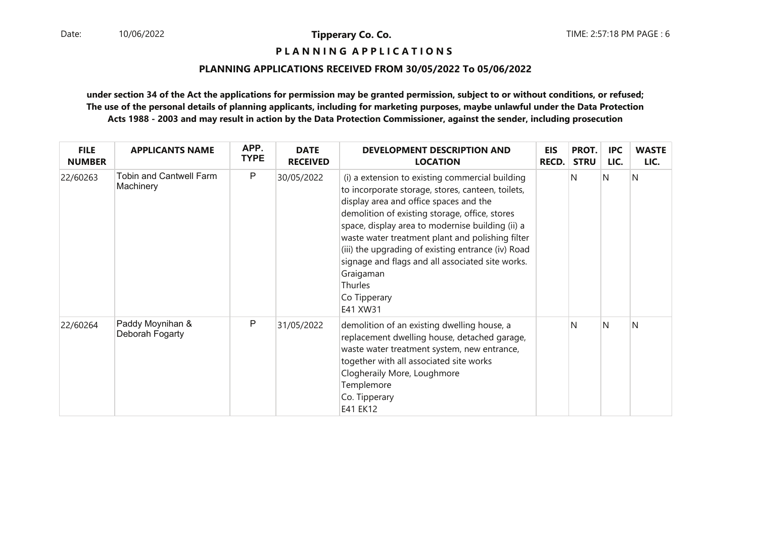**P L A N N I N G A P P L I C A T I O N S** 

### **PLANNING APPLICATIONS RECEIVED FROM 30/05/2022 To 05/06/2022**

| <b>FILE</b><br><b>NUMBER</b> | <b>APPLICANTS NAME</b>               | APP.<br><b>TYPE</b> | <b>DATE</b><br><b>RECEIVED</b> | <b>DEVELOPMENT DESCRIPTION AND</b><br><b>LOCATION</b>                                                                                                                                                                                                                                                                                                                                                                                                                  | <b>EIS</b><br><b>RECD.</b> | PROT.<br><b>STRU</b> | <b>IPC</b><br>LIC. | <b>WASTE</b><br>LIC. |
|------------------------------|--------------------------------------|---------------------|--------------------------------|------------------------------------------------------------------------------------------------------------------------------------------------------------------------------------------------------------------------------------------------------------------------------------------------------------------------------------------------------------------------------------------------------------------------------------------------------------------------|----------------------------|----------------------|--------------------|----------------------|
| 22/60263                     | Tobin and Cantwell Farm<br>Machinery | P                   | 30/05/2022                     | (i) a extension to existing commercial building<br>to incorporate storage, stores, canteen, toilets,<br>display area and office spaces and the<br>demolition of existing storage, office, stores<br>space, display area to modernise building (ii) a<br>waste water treatment plant and polishing filter<br>(iii) the upgrading of existing entrance (iv) Road<br>signage and flags and all associated site works.<br>Graigaman<br>Thurles<br>Co Tipperary<br>E41 XW31 |                            | N                    | N                  | N                    |
| 22/60264                     | Paddy Moynihan &<br>Deborah Fogarty  | P                   | 31/05/2022                     | demolition of an existing dwelling house, a<br>replacement dwelling house, detached garage,<br>waste water treatment system, new entrance,<br>together with all associated site works<br>Clogheraily More, Loughmore<br>Templemore<br>Co. Tipperary<br>E41 EK12                                                                                                                                                                                                        |                            | N                    | N                  | N                    |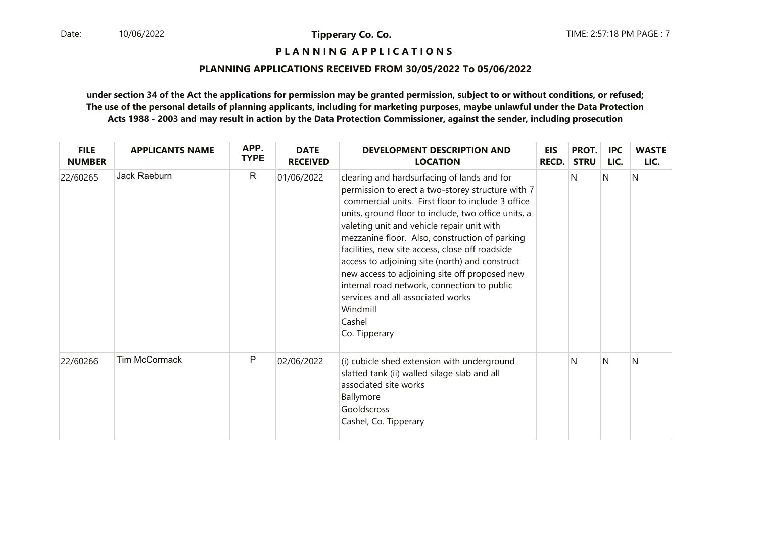**P L A N N I N G A P P L I C A T I O N S** 

### **PLANNING APPLICATIONS RECEIVED FROM 30/05/2022 To 05/06/2022**

| <b>FILE</b><br><b>NUMBER</b> | <b>APPLICANTS NAME</b> | APP.<br><b>TYPE</b> | <b>DATE</b><br><b>RECEIVED</b> | <b>DEVELOPMENT DESCRIPTION AND</b><br><b>LOCATION</b>                                                                                                                                                                                                                                                                                                                                                                                                                                                                                                                                         | <b>EIS</b><br><b>RECD.</b> | PROT.<br><b>STRU</b> | IPC<br>LIC. | <b>WASTE</b><br>LIC. |
|------------------------------|------------------------|---------------------|--------------------------------|-----------------------------------------------------------------------------------------------------------------------------------------------------------------------------------------------------------------------------------------------------------------------------------------------------------------------------------------------------------------------------------------------------------------------------------------------------------------------------------------------------------------------------------------------------------------------------------------------|----------------------------|----------------------|-------------|----------------------|
| 22/60265                     | Jack Raeburn           | $\mathsf{R}$        | 01/06/2022                     | clearing and hardsurfacing of lands and for<br>permission to erect a two-storey structure with 7<br>commercial units. First floor to include 3 office<br>units, ground floor to include, two office units, a<br>valeting unit and vehicle repair unit with<br>mezzanine floor. Also, construction of parking<br>facilities, new site access, close off roadside<br>access to adjoining site (north) and construct<br>new access to adjoining site off proposed new<br>internal road network, connection to public<br>services and all associated works<br>Windmill<br>Cashel<br>Co. Tipperary |                            | N                    | N           | N                    |
| 22/60266                     | <b>Tim McCormack</b>   | P                   | 02/06/2022                     | (i) cubicle shed extension with underground<br>slatted tank (ii) walled silage slab and all<br>associated site works<br>Ballymore<br>Gooldscross<br>Cashel, Co. Tipperary                                                                                                                                                                                                                                                                                                                                                                                                                     |                            | N                    | N           | N                    |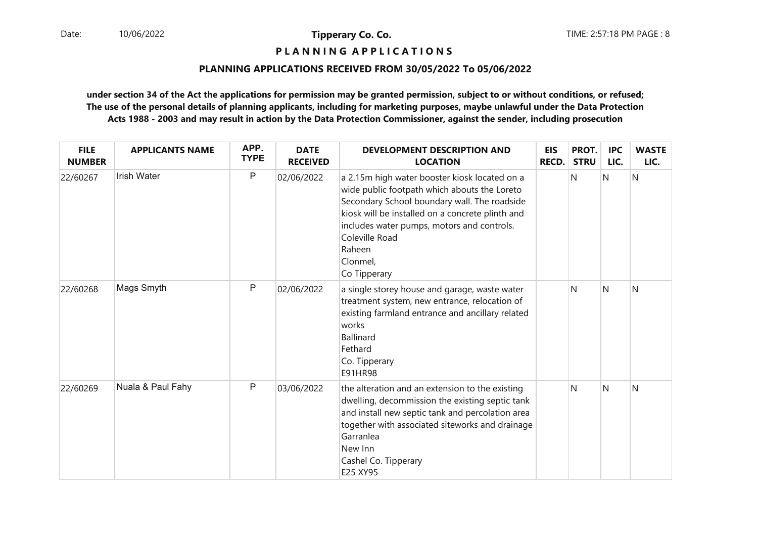### **P L A N N I N G A P P L I C A T I O N S**

### **PLANNING APPLICATIONS RECEIVED FROM 30/05/2022 To 05/06/2022**

| <b>FILE</b><br><b>NUMBER</b> | <b>APPLICANTS NAME</b> | APP.<br><b>TYPE</b> | <b>DATE</b><br><b>RECEIVED</b> | <b>DEVELOPMENT DESCRIPTION AND</b><br><b>LOCATION</b>                                                                                                                                                                                                                                                   | <b>EIS</b><br><b>RECD.</b> | PROT.<br><b>STRU</b> | <b>IPC</b><br>LIC. | <b>WASTE</b><br>LIC. |
|------------------------------|------------------------|---------------------|--------------------------------|---------------------------------------------------------------------------------------------------------------------------------------------------------------------------------------------------------------------------------------------------------------------------------------------------------|----------------------------|----------------------|--------------------|----------------------|
| 22/60267                     | <b>Irish Water</b>     | P                   | 02/06/2022                     | a 2.15m high water booster kiosk located on a<br>wide public footpath which abouts the Loreto<br>Secondary School boundary wall. The roadside<br>kiosk will be installed on a concrete plinth and<br>includes water pumps, motors and controls.<br>Coleville Road<br>Raheen<br>Clonmel,<br>Co Tipperary |                            | N                    | $\mathsf{N}$       | N                    |
| 22/60268                     | Mags Smyth             | P                   | 02/06/2022                     | a single storey house and garage, waste water<br>treatment system, new entrance, relocation of<br>existing farmland entrance and ancillary related<br>works<br><b>Ballinard</b><br>Fethard<br>Co. Tipperary<br>E91HR98                                                                                  |                            | N                    | N                  | N                    |
| 22/60269                     | Nuala & Paul Fahy      | $\mathsf{P}$        | 03/06/2022                     | the alteration and an extension to the existing<br>dwelling, decommission the existing septic tank<br>and install new septic tank and percolation area<br>together with associated siteworks and drainage<br>Garranlea<br>New Inn<br>Cashel Co. Tipperary<br>E25 XY95                                   |                            | N                    | N                  | N                    |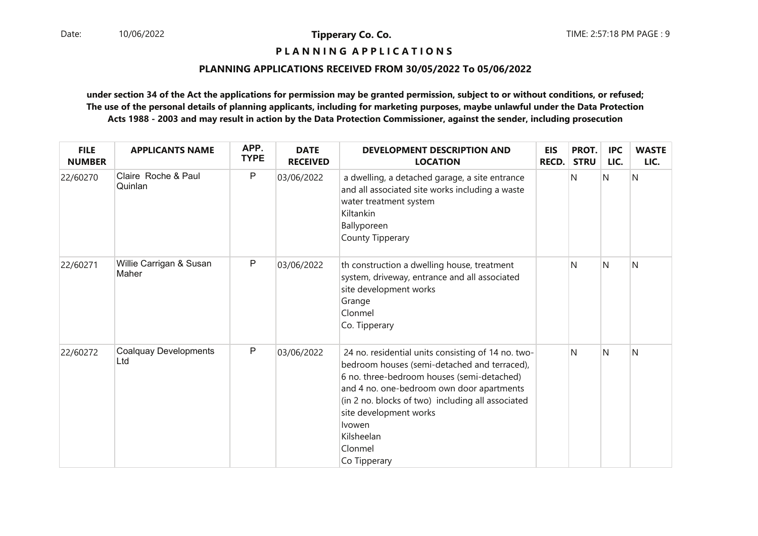**P L A N N I N G A P P L I C A T I O N S** 

### **PLANNING APPLICATIONS RECEIVED FROM 30/05/2022 To 05/06/2022**

| <b>FILE</b><br><b>NUMBER</b> | <b>APPLICANTS NAME</b>              | APP.<br><b>TYPE</b> | <b>DATE</b><br><b>RECEIVED</b> | DEVELOPMENT DESCRIPTION AND<br><b>LOCATION</b>                                                                                                                                                                                                                                                                                         | <b>EIS</b><br><b>RECD.</b> | PROT.<br><b>STRU</b> | <b>IPC</b><br>LIC. | <b>WASTE</b><br>LIC. |
|------------------------------|-------------------------------------|---------------------|--------------------------------|----------------------------------------------------------------------------------------------------------------------------------------------------------------------------------------------------------------------------------------------------------------------------------------------------------------------------------------|----------------------------|----------------------|--------------------|----------------------|
| 22/60270                     | Claire Roche & Paul<br>Quinlan      | $\sf P$             | 03/06/2022                     | a dwelling, a detached garage, a site entrance<br>and all associated site works including a waste<br>water treatment system<br>Kiltankin<br>Ballyporeen<br>County Tipperary                                                                                                                                                            |                            | N                    | Ν                  | N                    |
| 22/60271                     | Willie Carrigan & Susan<br>Maher    | $\mathsf{P}$        | 03/06/2022                     | th construction a dwelling house, treatment<br>system, driveway, entrance and all associated<br>site development works<br>Grange<br>Clonmel<br>Co. Tipperary                                                                                                                                                                           |                            | N                    | N                  | N                    |
| 22/60272                     | <b>Coalquay Developments</b><br>Ltd | $\mathsf{P}$        | 03/06/2022                     | 24 no. residential units consisting of 14 no. two-<br>bedroom houses (semi-detached and terraced),<br>6 no. three-bedroom houses (semi-detached)<br>and 4 no. one-bedroom own door apartments<br>(in 2 no. blocks of two) including all associated<br>site development works<br><b>Ivowen</b><br>Kilsheelan<br>Clonmel<br>Co Tipperary |                            | N                    | N                  | N                    |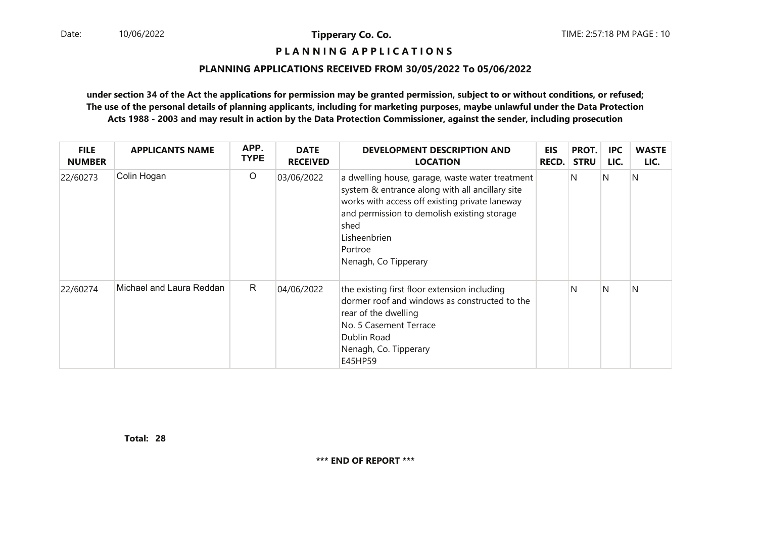### **P L A N N I N G A P P L I C A T I O N S**

#### **PLANNING APPLICATIONS RECEIVED FROM 30/05/2022 To 05/06/2022**

**under section 34 of the Act the applications for permission may be granted permission, subject to or without conditions, or refused; The use of the personal details of planning applicants, including for marketing purposes, maybe unlawful under the Data ProtectionActs 1988 - 2003 and may result in action by the Data Protection Commissioner, against the sender, including prosecution**

| <b>FILE</b><br><b>NUMBER</b> | <b>APPLICANTS NAME</b>   | APP.<br><b>TYPE</b> | <b>DATE</b><br><b>RECEIVED</b> | <b>DEVELOPMENT DESCRIPTION AND</b><br><b>LOCATION</b>                                                                                                                                                                                                          | EIS<br><b>RECD.</b> | PROT.<br><b>STRU</b> | <b>IPC</b><br>LIC. | <b>WASTE</b><br>LIC. |
|------------------------------|--------------------------|---------------------|--------------------------------|----------------------------------------------------------------------------------------------------------------------------------------------------------------------------------------------------------------------------------------------------------------|---------------------|----------------------|--------------------|----------------------|
| 22/60273                     | Colin Hogan              | $\circ$             | 03/06/2022                     | a dwelling house, garage, waste water treatment<br>system & entrance along with all ancillary site<br>works with access off existing private laneway<br>and permission to demolish existing storage<br>shed<br>Lisheenbrien<br>Portroe<br>Nenagh, Co Tipperary |                     | N                    | IN                 | N                    |
| 22/60274                     | Michael and Laura Reddan | $\mathsf{R}$        | 04/06/2022                     | the existing first floor extension including<br>dormer roof and windows as constructed to the<br>rear of the dwelling<br>No. 5 Casement Terrace<br>Dublin Road<br>Nenagh, Co. Tipperary<br>E45HP59                                                             |                     | N                    | IN.                | N                    |

**28Total:**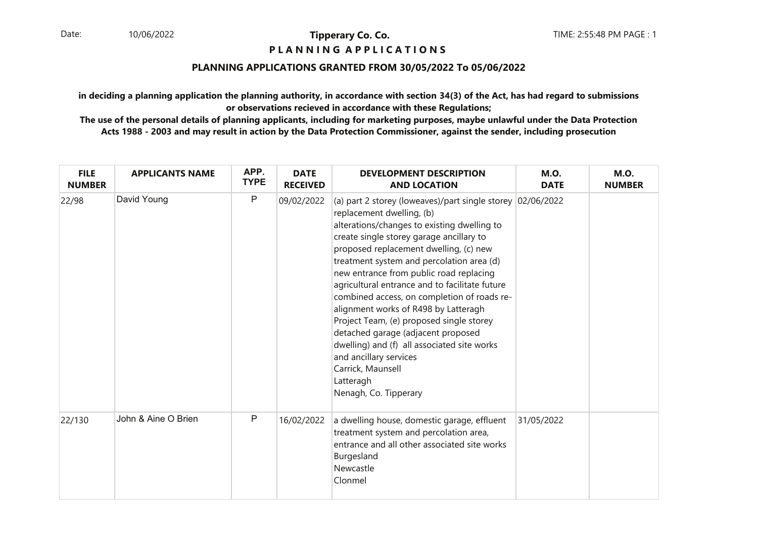### **P L A N N I N G A P P L I C A T I O N S**

### **PLANNING APPLICATIONS GRANTED FROM 30/05/2022 To 05/06/2022**

**in deciding a planning application the planning authority, in accordance with section 34(3) of the Act, has had regard to submissionsor observations recieved in accordance with these Regulations;**

| <b>FILE</b><br><b>NUMBER</b> | <b>APPLICANTS NAME</b> | APP.<br><b>TYPE</b> | <b>DATE</b><br><b>RECEIVED</b> | <b>DEVELOPMENT DESCRIPTION</b><br><b>AND LOCATION</b>                                                                                                                                                                                                                                                                                                                                                                                                                                                                                                                                                                                                                               | <b>M.O.</b><br><b>DATE</b> | <b>M.O.</b><br><b>NUMBER</b> |
|------------------------------|------------------------|---------------------|--------------------------------|-------------------------------------------------------------------------------------------------------------------------------------------------------------------------------------------------------------------------------------------------------------------------------------------------------------------------------------------------------------------------------------------------------------------------------------------------------------------------------------------------------------------------------------------------------------------------------------------------------------------------------------------------------------------------------------|----------------------------|------------------------------|
| 22/98                        | David Young            | $\mathsf{P}$        | 09/02/2022                     | (a) part 2 storey (loweaves)/part single storey 02/06/2022<br>replacement dwelling, (b)<br>alterations/changes to existing dwelling to<br>create single storey garage ancillary to<br>proposed replacement dwelling, (c) new<br>treatment system and percolation area (d)<br>new entrance from public road replacing<br>agricultural entrance and to facilitate future<br>combined access, on completion of roads re-<br>alignment works of R498 by Latteragh<br>Project Team, (e) proposed single storey<br>detached garage (adjacent proposed<br>dwelling) and (f) all associated site works<br>and ancillary services<br>Carrick, Maunsell<br>Latteragh<br>Nenagh, Co. Tipperary |                            |                              |
| 22/130                       | John & Aine O Brien    | P                   | 16/02/2022                     | a dwelling house, domestic garage, effluent<br>treatment system and percolation area,<br>entrance and all other associated site works<br>Burgesland<br>Newcastle<br>Clonmel                                                                                                                                                                                                                                                                                                                                                                                                                                                                                                         | 31/05/2022                 |                              |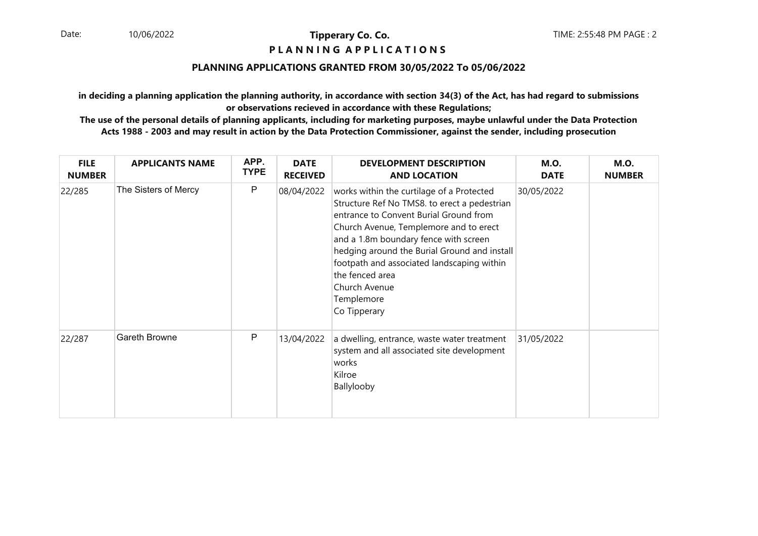### **P L A N N I N G A P P L I C A T I O N S**

### **PLANNING APPLICATIONS GRANTED FROM 30/05/2022 To 05/06/2022**

**in deciding a planning application the planning authority, in accordance with section 34(3) of the Act, has had regard to submissionsor observations recieved in accordance with these Regulations;**

| <b>FILE</b><br><b>NUMBER</b> | <b>APPLICANTS NAME</b> | APP.<br><b>TYPE</b> | <b>DATE</b><br><b>RECEIVED</b> | <b>DEVELOPMENT DESCRIPTION</b><br><b>AND LOCATION</b>                                                                                                                                                                                                                                                                                                                                  | <b>M.O.</b><br><b>DATE</b> | <b>M.O.</b><br><b>NUMBER</b> |
|------------------------------|------------------------|---------------------|--------------------------------|----------------------------------------------------------------------------------------------------------------------------------------------------------------------------------------------------------------------------------------------------------------------------------------------------------------------------------------------------------------------------------------|----------------------------|------------------------------|
| 22/285                       | The Sisters of Mercy   | P                   | 08/04/2022                     | works within the curtilage of a Protected<br>Structure Ref No TMS8. to erect a pedestrian<br>entrance to Convent Burial Ground from<br>Church Avenue, Templemore and to erect<br>and a 1.8m boundary fence with screen<br>hedging around the Burial Ground and install<br>footpath and associated landscaping within<br>the fenced area<br>Church Avenue<br>Templemore<br>Co Tipperary | 30/05/2022                 |                              |
| 22/287                       | <b>Gareth Browne</b>   | P                   | 13/04/2022                     | a dwelling, entrance, waste water treatment<br>system and all associated site development<br>works<br>Kilroe<br>Ballylooby                                                                                                                                                                                                                                                             | 31/05/2022                 |                              |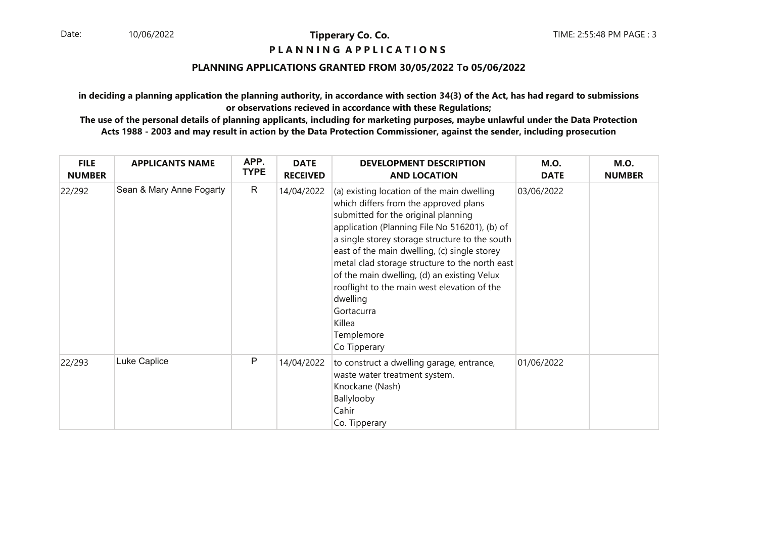### **P L A N N I N G A P P L I C A T I O N S**

### **PLANNING APPLICATIONS GRANTED FROM 30/05/2022 To 05/06/2022**

**in deciding a planning application the planning authority, in accordance with section 34(3) of the Act, has had regard to submissionsor observations recieved in accordance with these Regulations;**

| <b>FILE</b><br><b>NUMBER</b> | <b>APPLICANTS NAME</b>   | APP.<br><b>TYPE</b> | <b>DATE</b><br><b>RECEIVED</b> | <b>DEVELOPMENT DESCRIPTION</b><br><b>AND LOCATION</b>                                                                                                                                                                                                                                                                                                                                                                                                                                           | <b>M.O.</b><br><b>DATE</b> | <b>M.O.</b><br><b>NUMBER</b> |
|------------------------------|--------------------------|---------------------|--------------------------------|-------------------------------------------------------------------------------------------------------------------------------------------------------------------------------------------------------------------------------------------------------------------------------------------------------------------------------------------------------------------------------------------------------------------------------------------------------------------------------------------------|----------------------------|------------------------------|
| 22/292                       | Sean & Mary Anne Fogarty | $\mathsf{R}$        | 14/04/2022                     | (a) existing location of the main dwelling<br>which differs from the approved plans<br>submitted for the original planning<br>application (Planning File No 516201), (b) of<br>a single storey storage structure to the south<br>east of the main dwelling, (c) single storey<br>metal clad storage structure to the north east<br>of the main dwelling, (d) an existing Velux<br>rooflight to the main west elevation of the<br>dwelling<br>Gortacurra<br>Killea<br>Templemore<br>Co Tipperary | 03/06/2022                 |                              |
| 22/293                       | Luke Caplice             | P                   | 14/04/2022                     | to construct a dwelling garage, entrance,<br>waste water treatment system.<br>Knockane (Nash)<br>Ballylooby<br>Cahir<br>Co. Tipperary                                                                                                                                                                                                                                                                                                                                                           | 01/06/2022                 |                              |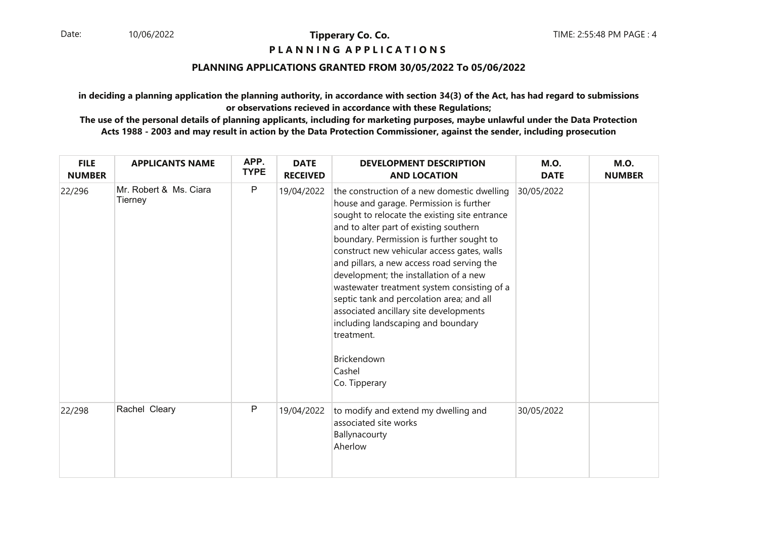### **P L A N N I N G A P P L I C A T I O N S**

### **PLANNING APPLICATIONS GRANTED FROM 30/05/2022 To 05/06/2022**

**in deciding a planning application the planning authority, in accordance with section 34(3) of the Act, has had regard to submissionsor observations recieved in accordance with these Regulations;**

| <b>FILE</b><br><b>NUMBER</b> | <b>APPLICANTS NAME</b>            | APP.<br><b>TYPE</b> | <b>DATE</b><br><b>RECEIVED</b> | <b>DEVELOPMENT DESCRIPTION</b><br><b>AND LOCATION</b>                                                                                                                                                                                                                                                                                                                                                                                                                                                                                                                                                     | <b>M.O.</b><br><b>DATE</b> | <b>M.O.</b><br><b>NUMBER</b> |
|------------------------------|-----------------------------------|---------------------|--------------------------------|-----------------------------------------------------------------------------------------------------------------------------------------------------------------------------------------------------------------------------------------------------------------------------------------------------------------------------------------------------------------------------------------------------------------------------------------------------------------------------------------------------------------------------------------------------------------------------------------------------------|----------------------------|------------------------------|
| 22/296                       | Mr. Robert & Ms. Ciara<br>Tierney | $\mathsf P$         | 19/04/2022                     | the construction of a new domestic dwelling<br>house and garage. Permission is further<br>sought to relocate the existing site entrance<br>and to alter part of existing southern<br>boundary. Permission is further sought to<br>construct new vehicular access gates, walls<br>and pillars, a new access road serving the<br>development; the installation of a new<br>wastewater treatment system consisting of a<br>septic tank and percolation area; and all<br>associated ancillary site developments<br>including landscaping and boundary<br>treatment.<br>Brickendown<br>Cashel<br>Co. Tipperary | 30/05/2022                 |                              |
| 22/298                       | Rachel Cleary                     | P                   | 19/04/2022                     | to modify and extend my dwelling and<br>associated site works<br>Ballynacourty<br>Aherlow                                                                                                                                                                                                                                                                                                                                                                                                                                                                                                                 | 30/05/2022                 |                              |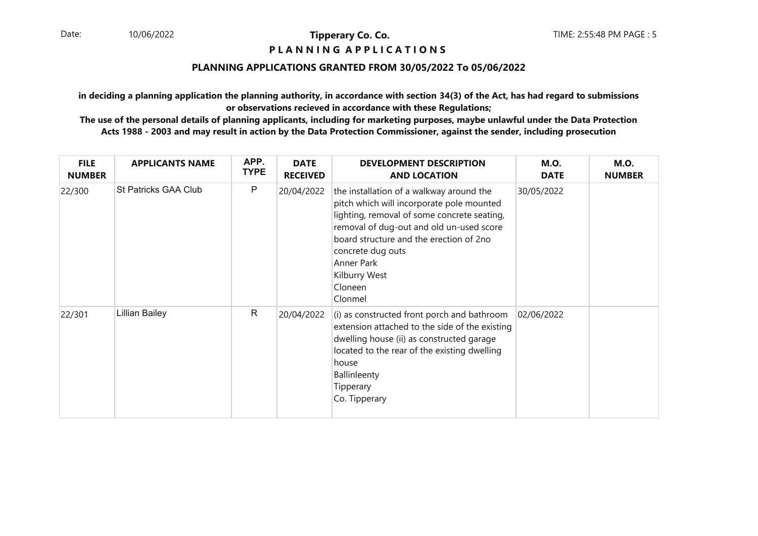### **P L A N N I N G A P P L I C A T I O N S**

### **PLANNING APPLICATIONS GRANTED FROM 30/05/2022 To 05/06/2022**

**in deciding a planning application the planning authority, in accordance with section 34(3) of the Act, has had regard to submissionsor observations recieved in accordance with these Regulations;**

| <b>FILE</b><br><b>NUMBER</b> | <b>APPLICANTS NAME</b>      | APP.<br><b>TYPE</b> | <b>DATE</b><br><b>RECEIVED</b> | <b>DEVELOPMENT DESCRIPTION</b><br><b>AND LOCATION</b>                                                                                                                                                                                                                                                 | <b>M.O.</b><br><b>DATE</b> | <b>M.O.</b><br><b>NUMBER</b> |
|------------------------------|-----------------------------|---------------------|--------------------------------|-------------------------------------------------------------------------------------------------------------------------------------------------------------------------------------------------------------------------------------------------------------------------------------------------------|----------------------------|------------------------------|
| 22/300                       | <b>St Patricks GAA Club</b> | P                   | 20/04/2022                     | the installation of a walkway around the<br>pitch which will incorporate pole mounted<br>lighting, removal of some concrete seating,<br>removal of dug-out and old un-used score<br>board structure and the erection of 2no<br>concrete dug outs<br>Anner Park<br>Kilburry West<br>Cloneen<br>Clonmel | 30/05/2022                 |                              |
| 22/301                       | <b>Lillian Bailey</b>       | R                   | 20/04/2022                     | (i) as constructed front porch and bathroom<br>extension attached to the side of the existing<br>dwelling house (ii) as constructed garage<br>located to the rear of the existing dwelling<br>house<br>Ballinleenty<br>Tipperary<br>Co. Tipperary                                                     | 02/06/2022                 |                              |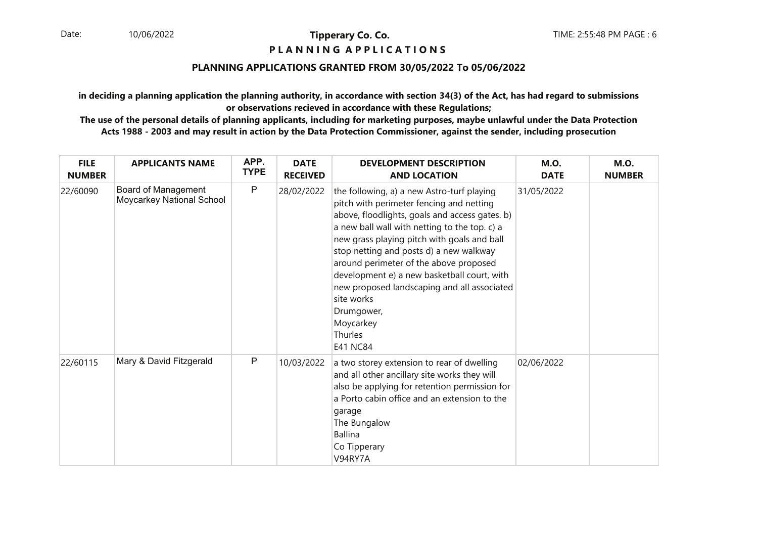### **P L A N N I N G A P P L I C A T I O N S**

### **PLANNING APPLICATIONS GRANTED FROM 30/05/2022 To 05/06/2022**

**in deciding a planning application the planning authority, in accordance with section 34(3) of the Act, has had regard to submissionsor observations recieved in accordance with these Regulations;**

| <b>FILE</b><br><b>NUMBER</b> | <b>APPLICANTS NAME</b>                           | APP.<br><b>TYPE</b> | <b>DATE</b><br><b>RECEIVED</b> | <b>DEVELOPMENT DESCRIPTION</b><br><b>AND LOCATION</b>                                                                                                                                                                                                                                                                                                                                                                                                                                              | <b>M.O.</b><br><b>DATE</b> | <b>M.O.</b><br><b>NUMBER</b> |
|------------------------------|--------------------------------------------------|---------------------|--------------------------------|----------------------------------------------------------------------------------------------------------------------------------------------------------------------------------------------------------------------------------------------------------------------------------------------------------------------------------------------------------------------------------------------------------------------------------------------------------------------------------------------------|----------------------------|------------------------------|
| 22/60090                     | Board of Management<br>Moycarkey National School | P                   | 28/02/2022                     | the following, a) a new Astro-turf playing<br>pitch with perimeter fencing and netting<br>above, floodlights, goals and access gates. b)<br>a new ball wall with netting to the top. c) a<br>new grass playing pitch with goals and ball<br>stop netting and posts d) a new walkway<br>around perimeter of the above proposed<br>development e) a new basketball court, with<br>new proposed landscaping and all associated<br>site works<br>Drumgower,<br>Moycarkey<br>Thurles<br><b>E41 NC84</b> | 31/05/2022                 |                              |
| 22/60115                     | Mary & David Fitzgerald                          | P                   | 10/03/2022                     | a two storey extension to rear of dwelling<br>and all other ancillary site works they will<br>also be applying for retention permission for<br>a Porto cabin office and an extension to the<br>garage<br>The Bungalow<br><b>Ballina</b><br>Co Tipperary<br>V94RY7A                                                                                                                                                                                                                                 | 02/06/2022                 |                              |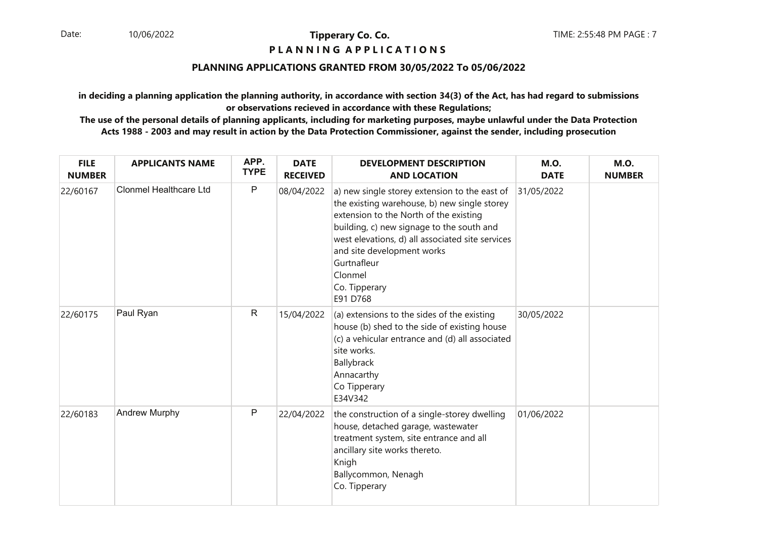### **P L A N N I N G A P P L I C A T I O N S**

### **PLANNING APPLICATIONS GRANTED FROM 30/05/2022 To 05/06/2022**

**in deciding a planning application the planning authority, in accordance with section 34(3) of the Act, has had regard to submissionsor observations recieved in accordance with these Regulations;**

| <b>FILE</b><br><b>NUMBER</b> | <b>APPLICANTS NAME</b>        | APP.<br><b>TYPE</b> | <b>DATE</b><br><b>RECEIVED</b> | <b>DEVELOPMENT DESCRIPTION</b><br><b>AND LOCATION</b>                                                                                                                                                                                                                                                                         | <b>M.O.</b><br><b>DATE</b> | <b>M.O.</b><br><b>NUMBER</b> |
|------------------------------|-------------------------------|---------------------|--------------------------------|-------------------------------------------------------------------------------------------------------------------------------------------------------------------------------------------------------------------------------------------------------------------------------------------------------------------------------|----------------------------|------------------------------|
| 22/60167                     | <b>Clonmel Healthcare Ltd</b> | $\mathsf{P}$        | 08/04/2022                     | a) new single storey extension to the east of<br>the existing warehouse, b) new single storey<br>extension to the North of the existing<br>building, c) new signage to the south and<br>west elevations, d) all associated site services<br>and site development works<br>Gurtnafleur<br>Clonmel<br>Co. Tipperary<br>E91 D768 | 31/05/2022                 |                              |
| 22/60175                     | Paul Ryan                     | $\mathsf{R}$        | 15/04/2022                     | (a) extensions to the sides of the existing<br>house (b) shed to the side of existing house<br>(c) a vehicular entrance and (d) all associated<br>site works.<br>Ballybrack<br>Annacarthy<br>Co Tipperary<br>E34V342                                                                                                          | 30/05/2022                 |                              |
| 22/60183                     | <b>Andrew Murphy</b>          | ${\sf P}$           | 22/04/2022                     | the construction of a single-storey dwelling<br>house, detached garage, wastewater<br>treatment system, site entrance and all<br>ancillary site works thereto.<br>Knigh<br>Ballycommon, Nenagh<br>Co. Tipperary                                                                                                               | 01/06/2022                 |                              |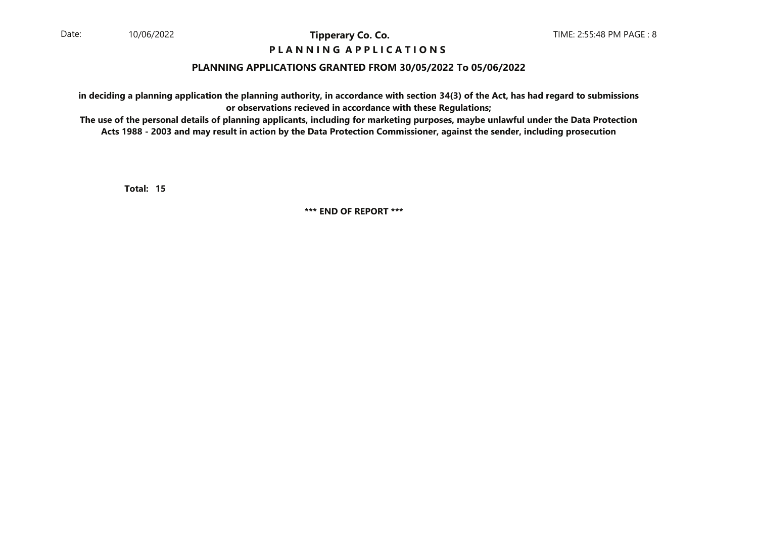### **P L A N N I N G A P P L I C A T I O N S**

### **PLANNING APPLICATIONS GRANTED FROM 30/05/2022 To 05/06/2022**

**in deciding a planning application the planning authority, in accordance with section 34(3) of the Act, has had regard to submissionsor observations recieved in accordance with these Regulations;**

 **The use of the personal details of planning applicants, including for marketing purposes, maybe unlawful under the Data ProtectionActs 1988 - 2003 and may result in action by the Data Protection Commissioner, against the sender, including prosecution**

**15Total:**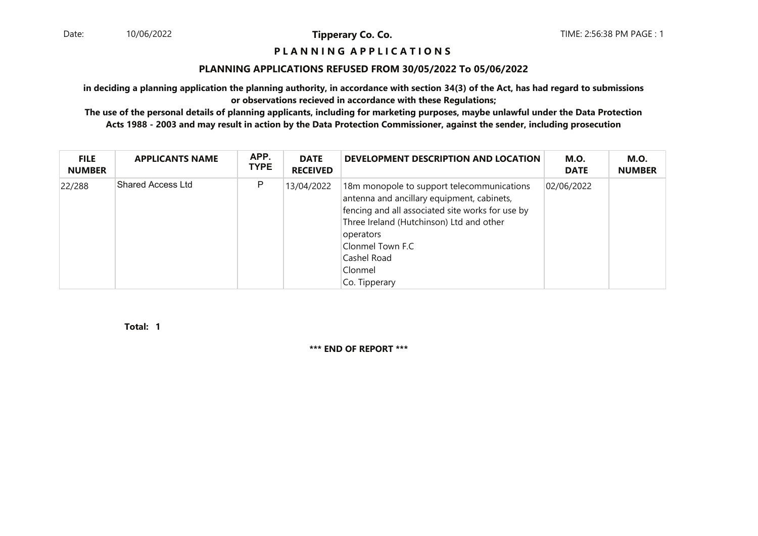#### **P L A N N I N G A P P L I C A T I O N S**

#### **PLANNING APPLICATIONS REFUSED FROM 30/05/2022 To 05/06/2022**

**in deciding a planning application the planning authority, in accordance with section 34(3) of the Act, has had regard to submissionsor observations recieved in accordance with these Regulations;**

 **The use of the personal details of planning applicants, including for marketing purposes, maybe unlawful under the Data ProtectionActs 1988 - 2003 and may result in action by the Data Protection Commissioner, against the sender, including prosecution**

| <b>FILE</b><br><b>NUMBER</b> | <b>APPLICANTS NAME</b>   | APP.<br><b>TYPE</b> | <b>DATE</b><br><b>RECEIVED</b> | DEVELOPMENT DESCRIPTION AND LOCATION                                                                                                                                                                                                                                 | <b>M.O.</b><br><b>DATE</b> | <b>M.O.</b><br><b>NUMBER</b> |
|------------------------------|--------------------------|---------------------|--------------------------------|----------------------------------------------------------------------------------------------------------------------------------------------------------------------------------------------------------------------------------------------------------------------|----------------------------|------------------------------|
| 22/288                       | <b>Shared Access Ltd</b> | P                   | 13/04/2022                     | 18m monopole to support telecommunications<br>antenna and ancillary equipment, cabinets,<br>fencing and all associated site works for use by<br>Three Ireland (Hutchinson) Ltd and other<br>operators<br>Clonmel Town F.C<br>Cashel Road<br>Clonmel<br>Co. Tipperary | 02/06/2022                 |                              |

**1Total:**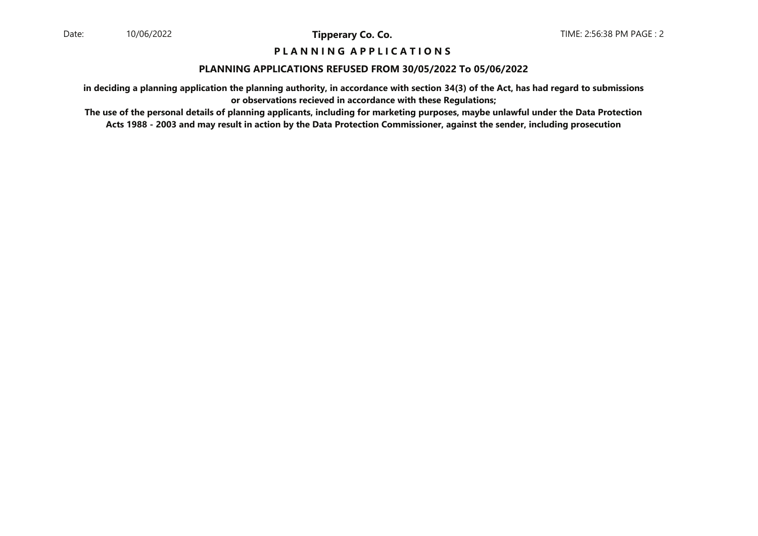### **P L A N N I N G A P P L I C A T I O N S**

#### **PLANNING APPLICATIONS REFUSED FROM 30/05/2022 To 05/06/2022**

**in deciding a planning application the planning authority, in accordance with section 34(3) of the Act, has had regard to submissionsor observations recieved in accordance with these Regulations;**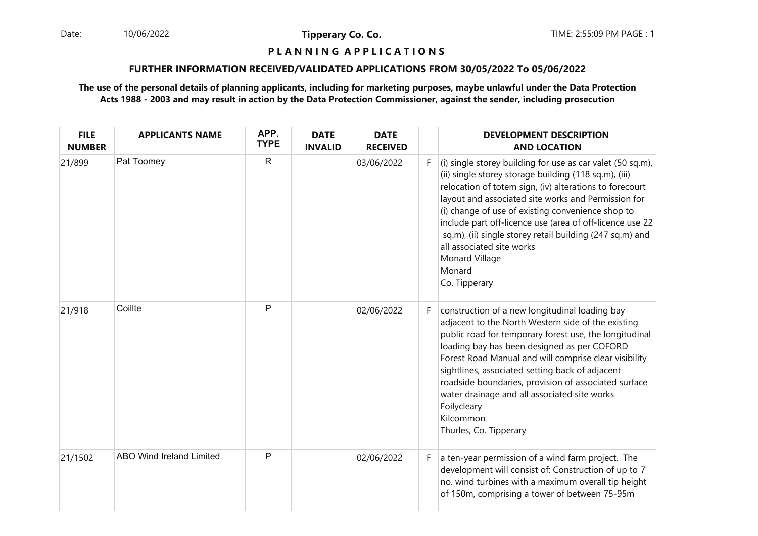Date: 10/06/2022 **Tipperary Co. Co. The:** 2:55:09 PM PAGE : 1 10/06/2022

**Tipperary Co. Co.**

### **P L A N N I N G A P P L I C A T I O N S**

### **FURTHER INFORMATION RECEIVED/VALIDATED APPLICATIONS FROM 30/05/2022 To 05/06/2022**

| <b>FILE</b><br><b>NUMBER</b> | <b>APPLICANTS NAME</b>          | APP.<br><b>TYPE</b> | <b>DATE</b><br><b>INVALID</b> | <b>DATE</b><br><b>RECEIVED</b> |    | <b>DEVELOPMENT DESCRIPTION</b><br><b>AND LOCATION</b>                                                                                                                                                                                                                                                                                                                                                                                                                                        |
|------------------------------|---------------------------------|---------------------|-------------------------------|--------------------------------|----|----------------------------------------------------------------------------------------------------------------------------------------------------------------------------------------------------------------------------------------------------------------------------------------------------------------------------------------------------------------------------------------------------------------------------------------------------------------------------------------------|
| 21/899                       | Pat Toomey                      | $\mathsf{R}$        |                               | 03/06/2022                     | F. | (i) single storey building for use as car valet (50 sq.m),<br>(ii) single storey storage building (118 sq.m), (iii)<br>relocation of totem sign, (iv) alterations to forecourt<br>layout and associated site works and Permission for<br>(i) change of use of existing convenience shop to<br>include part off-licence use (area of off-licence use 22<br>sq.m), (ii) single storey retail building (247 sq.m) and<br>all associated site works<br>Monard Village<br>Monard<br>Co. Tipperary |
| 21/918                       | Coillte                         | P                   |                               | 02/06/2022                     | F. | construction of a new longitudinal loading bay<br>adjacent to the North Western side of the existing<br>public road for temporary forest use, the longitudinal<br>loading bay has been designed as per COFORD<br>Forest Road Manual and will comprise clear visibility<br>sightlines, associated setting back of adjacent<br>roadside boundaries, provision of associated surface<br>water drainage and all associated site works<br>Foilycleary<br>Kilcommon<br>Thurles, Co. Tipperary      |
| 21/1502                      | <b>ABO Wind Ireland Limited</b> | P                   |                               | 02/06/2022                     | F. | a ten-year permission of a wind farm project. The<br>development will consist of: Construction of up to 7<br>no. wind turbines with a maximum overall tip height<br>of 150m, comprising a tower of between 75-95m                                                                                                                                                                                                                                                                            |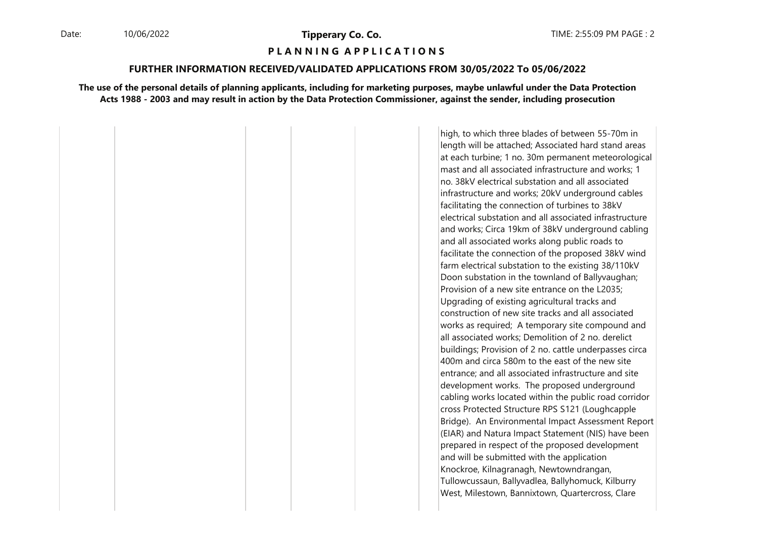### **P L A N N I N G A P P L I C A T I O N S**

#### **FURTHER INFORMATION RECEIVED/VALIDATED APPLICATIONS FROM 30/05/2022 To 05/06/2022**

#### **The use of the personal details of planning applicants, including for marketing purposes, maybe unlawful under the Data ProtectionActs 1988 - 2003 and may result in action by the Data Protection Commissioner, against the sender, including prosecution**

high, to which three blades of between 55-70m in length will be attached; Associated hard stand areas at each turbine; 1 no. 30m permanent meteorologicalmast and all associated infrastructure and works; 1no. 38kV electrical substation and all associated infrastructure and works; 20kV underground cables facilitating the connection of turbines to 38kV electrical substation and all associated infrastructure and works; Circa 19km of 38kV underground cabling and all associated works along public roads to facilitate the connection of the proposed 38kV wind farm electrical substation to the existing 38/110kV Doon substation in the townland of Ballyvaughan; Provision of a new site entrance on the L2035; Upgrading of existing agricultural tracks and construction of new site tracks and all associated works as required; A temporary site compound and all associated works; Demolition of 2 no. derelict buildings; Provision of 2 no. cattle underpasses circa 400m and circa 580m to the east of the new site entrance; and all associated infrastructure and site development works. The proposed underground cabling works located within the public road corridor cross Protected Structure RPS S121 (Loughcapple Bridge). An Environmental Impact Assessment Report (EIAR) and Natura Impact Statement (NIS) have been prepared in respect of the proposed development and will be submitted with the application Knockroe, Kilnagranagh, Newtowndrangan, Tullowcussaun, Ballyvadlea, Ballyhomuck, Kilburry West, Milestown, Bannixtown, Quartercross, Clare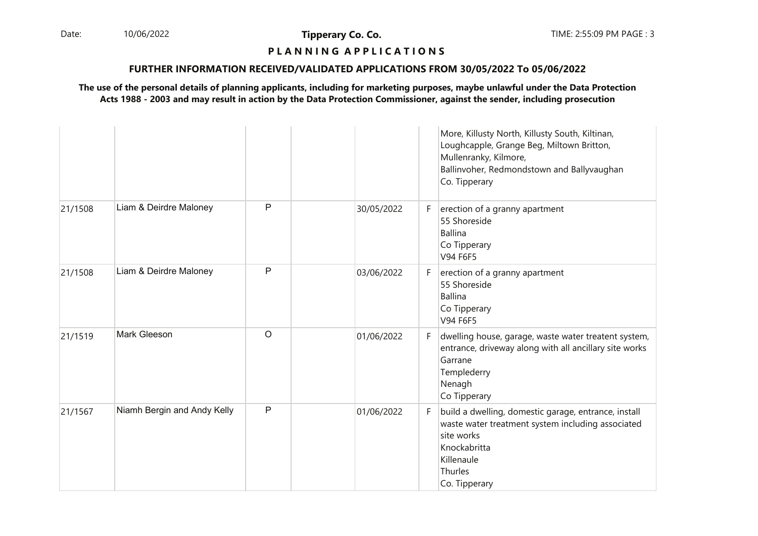Date: 10/06/2022 **Tipperary Co. Co. Co.** The TIME: 2:55:09 PM PAGE : 3 10/06/2022

**Tipperary Co. Co.**

### **P L A N N I N G A P P L I C A T I O N S**

### **FURTHER INFORMATION RECEIVED/VALIDATED APPLICATIONS FROM 30/05/2022 To 05/06/2022**

|         |                             |              |            |    | More, Killusty North, Killusty South, Kiltinan,<br>Loughcapple, Grange Beg, Miltown Britton,<br>Mullenranky, Kilmore,<br>Ballinvoher, Redmondstown and Ballyvaughan<br>Co. Tipperary |
|---------|-----------------------------|--------------|------------|----|--------------------------------------------------------------------------------------------------------------------------------------------------------------------------------------|
| 21/1508 | Liam & Deirdre Maloney      | $\mathsf{P}$ | 30/05/2022 | F. | erection of a granny apartment<br>55 Shoreside<br><b>Ballina</b><br>Co Tipperary<br>V94 F6F5                                                                                         |
| 21/1508 | Liam & Deirdre Maloney      | $\mathsf{P}$ | 03/06/2022 | F. | erection of a granny apartment<br>55 Shoreside<br><b>Ballina</b><br>Co Tipperary<br>V94 F6F5                                                                                         |
| 21/1519 | Mark Gleeson                | $\circ$      | 01/06/2022 | F. | dwelling house, garage, waste water treatent system,<br>entrance, driveway along with all ancillary site works<br>Garrane<br>Templederry<br>Nenagh<br>Co Tipperary                   |
| 21/1567 | Niamh Bergin and Andy Kelly | $\mathsf{P}$ | 01/06/2022 | F. | build a dwelling, domestic garage, entrance, install<br>waste water treatment system including associated<br>site works<br>Knockabritta<br>Killenaule<br>Thurles<br>Co. Tipperary    |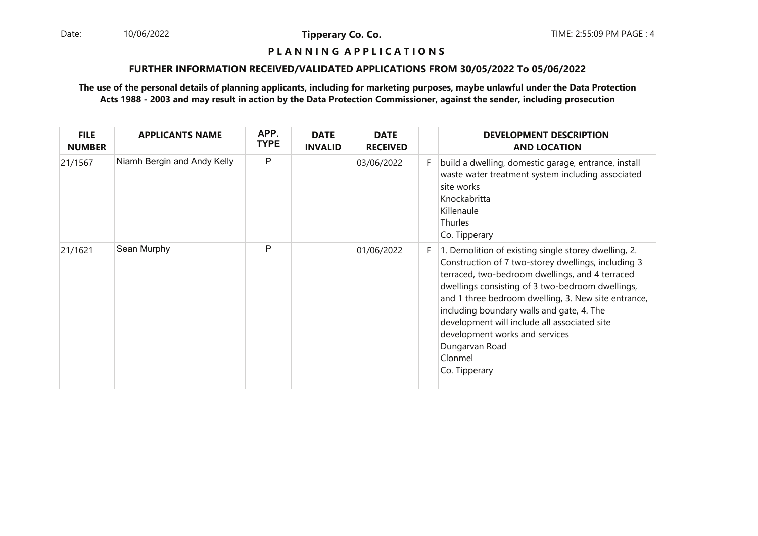Date: 10/06/2022 **Tipperary Co. Co. Co.** The TIME: 2:55:09 PM PAGE : 4 10/06/2022

**Tipperary Co. Co.**

#### **P L A N N I N G A P P L I C A T I O N S**

### **FURTHER INFORMATION RECEIVED/VALIDATED APPLICATIONS FROM 30/05/2022 To 05/06/2022**

| <b>FILE</b><br><b>NUMBER</b> | <b>APPLICANTS NAME</b>      | APP.<br><b>TYPE</b> | <b>DATE</b><br><b>INVALID</b> | <b>DATE</b><br><b>RECEIVED</b> |    | <b>DEVELOPMENT DESCRIPTION</b><br><b>AND LOCATION</b>                                                                                                                                                                                                                                                                                                                                                                                                  |
|------------------------------|-----------------------------|---------------------|-------------------------------|--------------------------------|----|--------------------------------------------------------------------------------------------------------------------------------------------------------------------------------------------------------------------------------------------------------------------------------------------------------------------------------------------------------------------------------------------------------------------------------------------------------|
| 21/1567                      | Niamh Bergin and Andy Kelly | P                   |                               | 03/06/2022                     | F. | build a dwelling, domestic garage, entrance, install<br>waste water treatment system including associated<br>site works<br>Knockabritta<br>Killenaule<br>Thurles<br>Co. Tipperary                                                                                                                                                                                                                                                                      |
| 21/1621                      | Sean Murphy                 | P                   |                               | 01/06/2022                     | F. | 1. Demolition of existing single storey dwelling, 2.<br>Construction of 7 two-storey dwellings, including 3<br>terraced, two-bedroom dwellings, and 4 terraced<br>dwellings consisting of 3 two-bedroom dwellings,<br>and 1 three bedroom dwelling, 3. New site entrance,<br>including boundary walls and gate, 4. The<br>development will include all associated site<br>development works and services<br>Dungarvan Road<br>Clonmel<br>Co. Tipperary |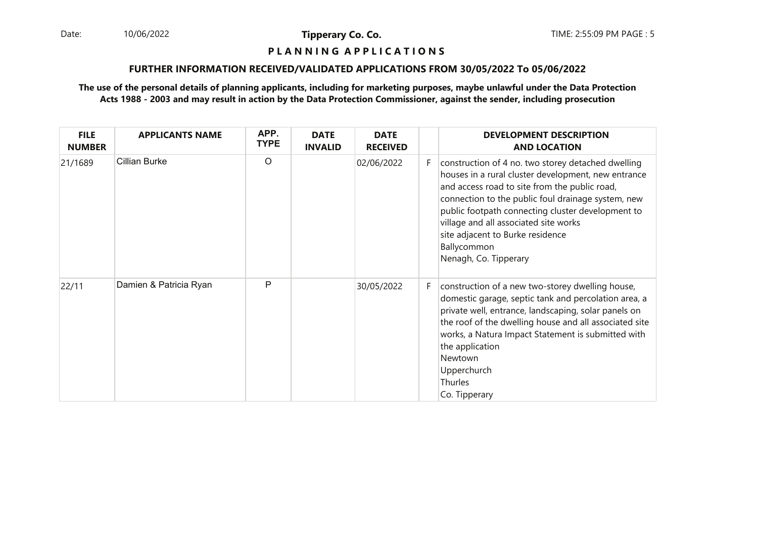Date: 10/06/2022 **Tipperary Co. Co. The Co. Co.** TIME: 2:55:09 PM PAGE : 5 10/06/2022

**Tipperary Co. Co.**

### **P L A N N I N G A P P L I C A T I O N S**

### **FURTHER INFORMATION RECEIVED/VALIDATED APPLICATIONS FROM 30/05/2022 To 05/06/2022**

| <b>FILE</b><br><b>NUMBER</b> | <b>APPLICANTS NAME</b> | APP.<br><b>TYPE</b> | <b>DATE</b><br><b>INVALID</b> | <b>DATE</b><br><b>RECEIVED</b> |    | <b>DEVELOPMENT DESCRIPTION</b><br><b>AND LOCATION</b>                                                                                                                                                                                                                                                                                                                                      |
|------------------------------|------------------------|---------------------|-------------------------------|--------------------------------|----|--------------------------------------------------------------------------------------------------------------------------------------------------------------------------------------------------------------------------------------------------------------------------------------------------------------------------------------------------------------------------------------------|
| 21/1689                      | <b>Cillian Burke</b>   | $\circ$             |                               | 02/06/2022                     | F. | construction of 4 no. two storey detached dwelling<br>houses in a rural cluster development, new entrance<br>and access road to site from the public road,<br>connection to the public foul drainage system, new<br>public footpath connecting cluster development to<br>village and all associated site works<br>site adjacent to Burke residence<br>Ballycommon<br>Nenagh, Co. Tipperary |
| 22/11                        | Damien & Patricia Ryan | P                   |                               | 30/05/2022                     | F. | construction of a new two-storey dwelling house,<br>domestic garage, septic tank and percolation area, a<br>private well, entrance, landscaping, solar panels on<br>the roof of the dwelling house and all associated site<br>works, a Natura Impact Statement is submitted with<br>the application<br>Newtown<br>Upperchurch<br>Thurles<br>Co. Tipperary                                  |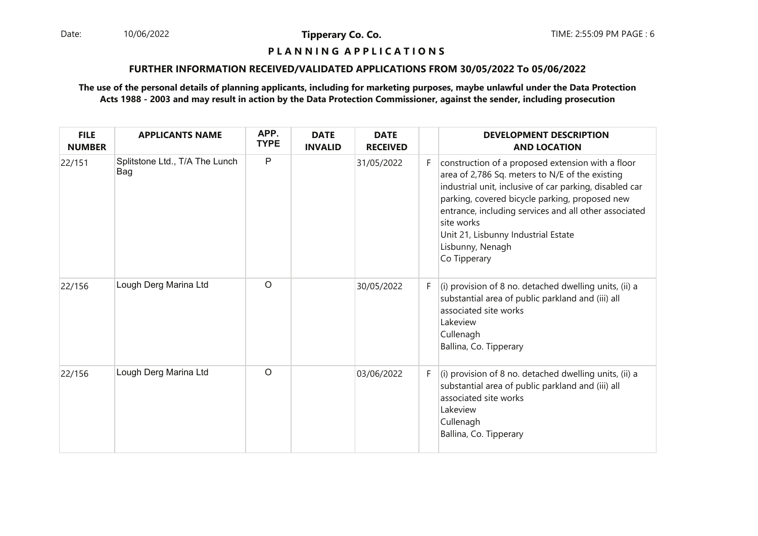Date: 10/06/2022 **Tipperary Co. Co. The Co. Co.** TIME: 2:55:09 PM PAGE : 6 10/06/2022

**Tipperary Co. Co.**

## **P L A N N I N G A P P L I C A T I O N S**

### **FURTHER INFORMATION RECEIVED/VALIDATED APPLICATIONS FROM 30/05/2022 To 05/06/2022**

| <b>FILE</b><br><b>NUMBER</b> | <b>APPLICANTS NAME</b>                | APP.<br><b>TYPE</b> | <b>DATE</b><br><b>INVALID</b> | <b>DATE</b><br><b>RECEIVED</b> |    | <b>DEVELOPMENT DESCRIPTION</b><br><b>AND LOCATION</b>                                                                                                                                                                                                                                                                                                               |
|------------------------------|---------------------------------------|---------------------|-------------------------------|--------------------------------|----|---------------------------------------------------------------------------------------------------------------------------------------------------------------------------------------------------------------------------------------------------------------------------------------------------------------------------------------------------------------------|
| 22/151                       | Splitstone Ltd., T/A The Lunch<br>Bag | P                   |                               | 31/05/2022                     | F. | construction of a proposed extension with a floor<br>area of 2,786 Sq. meters to N/E of the existing<br>industrial unit, inclusive of car parking, disabled car<br>parking, covered bicycle parking, proposed new<br>entrance, including services and all other associated<br>site works<br>Unit 21, Lisbunny Industrial Estate<br>Lisbunny, Nenagh<br>Co Tipperary |
| 22/156                       | Lough Derg Marina Ltd                 | $\circ$             |                               | 30/05/2022                     | F  | (i) provision of 8 no. detached dwelling units, (ii) a<br>substantial area of public parkland and (iii) all<br>associated site works<br>Lakeview<br>Cullenagh<br>Ballina, Co. Tipperary                                                                                                                                                                             |
| 22/156                       | Lough Derg Marina Ltd                 | $\circ$             |                               | 03/06/2022                     | F  | (i) provision of 8 no. detached dwelling units, (ii) a<br>substantial area of public parkland and (iii) all<br>associated site works<br>Lakeview<br>Cullenagh<br>Ballina, Co. Tipperary                                                                                                                                                                             |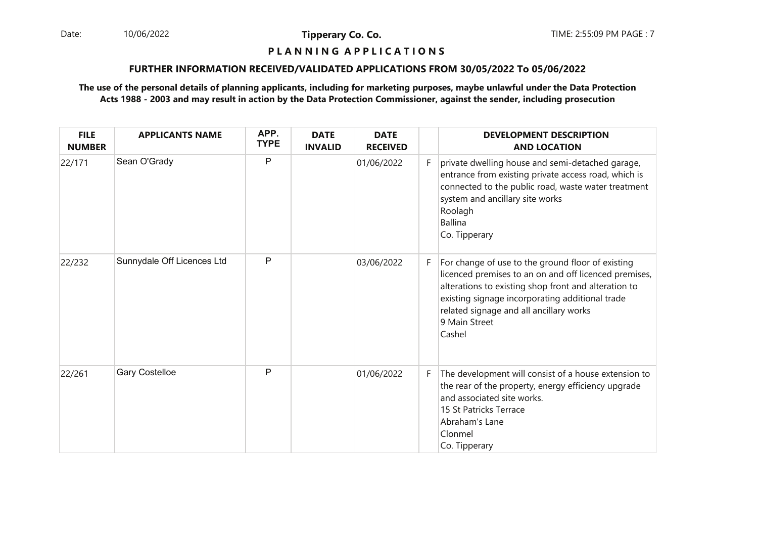Date: 10/06/2022 **Tipperary Co. Co. The Co. Co.** TIME: 2:55:09 PM PAGE : 7 10/06/2022

**Tipperary Co. Co.**

### **P L A N N I N G A P P L I C A T I O N S**

### **FURTHER INFORMATION RECEIVED/VALIDATED APPLICATIONS FROM 30/05/2022 To 05/06/2022**

| <b>FILE</b><br><b>NUMBER</b> | <b>APPLICANTS NAME</b>     | APP.<br><b>TYPE</b> | <b>DATE</b><br><b>INVALID</b> | <b>DATE</b><br><b>RECEIVED</b> |    | <b>DEVELOPMENT DESCRIPTION</b><br><b>AND LOCATION</b>                                                                                                                                                                                                                                       |
|------------------------------|----------------------------|---------------------|-------------------------------|--------------------------------|----|---------------------------------------------------------------------------------------------------------------------------------------------------------------------------------------------------------------------------------------------------------------------------------------------|
| 22/171                       | Sean O'Grady               | P                   |                               | 01/06/2022                     | F. | private dwelling house and semi-detached garage,<br>entrance from existing private access road, which is<br>connected to the public road, waste water treatment<br>system and ancillary site works<br>Roolagh<br><b>Ballina</b><br>Co. Tipperary                                            |
| 22/232                       | Sunnydale Off Licences Ltd | $\mathsf{P}$        |                               | 03/06/2022                     | F. | For change of use to the ground floor of existing<br>licenced premises to an on and off licenced premises,<br>alterations to existing shop front and alteration to<br>existing signage incorporating additional trade<br>related signage and all ancillary works<br>9 Main Street<br>Cashel |
| 22/261                       | <b>Gary Costelloe</b>      | $\mathsf{P}$        |                               | 01/06/2022                     | F. | The development will consist of a house extension to<br>the rear of the property, energy efficiency upgrade<br>and associated site works.<br>15 St Patricks Terrace<br>Abraham's Lane<br>Clonmel<br>Co. Tipperary                                                                           |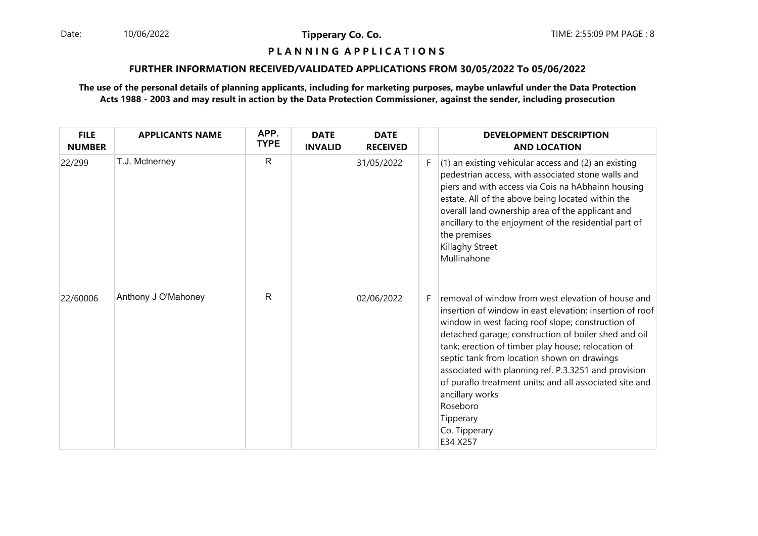Date: 10/06/2022 **Tipperary Co. Co. The Co. Co.** TIME: 2:55:09 PM PAGE : 8 10/06/2022

**Tipperary Co. Co.**

### **P L A N N I N G A P P L I C A T I O N S**

### **FURTHER INFORMATION RECEIVED/VALIDATED APPLICATIONS FROM 30/05/2022 To 05/06/2022**

| <b>FILE</b><br><b>NUMBER</b> | <b>APPLICANTS NAME</b> | APP.<br><b>TYPE</b> | <b>DATE</b><br><b>INVALID</b> | <b>DATE</b><br><b>RECEIVED</b> |    | <b>DEVELOPMENT DESCRIPTION</b><br><b>AND LOCATION</b>                                                                                                                                                                                                                                                                                                                                                                                                                                                                        |
|------------------------------|------------------------|---------------------|-------------------------------|--------------------------------|----|------------------------------------------------------------------------------------------------------------------------------------------------------------------------------------------------------------------------------------------------------------------------------------------------------------------------------------------------------------------------------------------------------------------------------------------------------------------------------------------------------------------------------|
| 22/299                       | T.J. McInerney         | $\mathsf{R}$        |                               | 31/05/2022                     | F. | $(1)$ an existing vehicular access and $(2)$ an existing<br>pedestrian access, with associated stone walls and<br>piers and with access via Cois na hAbhainn housing<br>estate. All of the above being located within the<br>overall land ownership area of the applicant and<br>ancillary to the enjoyment of the residential part of<br>the premises<br>Killaghy Street<br>Mullinahone                                                                                                                                     |
| 22/60006                     | Anthony J O'Mahoney    | R                   |                               | 02/06/2022                     | F. | removal of window from west elevation of house and<br>insertion of window in east elevation; insertion of roof<br>window in west facing roof slope; construction of<br>detached garage; construction of boiler shed and oil<br>tank; erection of timber play house; relocation of<br>septic tank from location shown on drawings<br>associated with planning ref. P.3.3251 and provision<br>of puraflo treatment units; and all associated site and<br>ancillary works<br>Roseboro<br>Tipperary<br>Co. Tipperary<br>E34 X257 |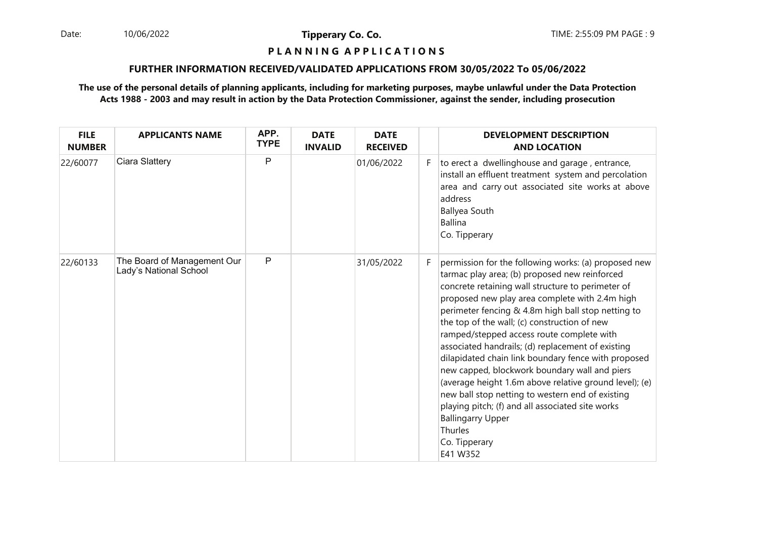Date: 10/06/2022 **Tipperary Co. Co. The Co. Co.** TIME: 2:55:09 PM PAGE : 9 10/06/2022

**Tipperary Co. Co.**

### **P L A N N I N G A P P L I C A T I O N S**

### **FURTHER INFORMATION RECEIVED/VALIDATED APPLICATIONS FROM 30/05/2022 To 05/06/2022**

| <b>FILE</b><br><b>NUMBER</b> | <b>APPLICANTS NAME</b>                                | APP.<br><b>TYPE</b> | <b>DATE</b><br><b>INVALID</b> | <b>DATE</b><br><b>RECEIVED</b> |    | <b>DEVELOPMENT DESCRIPTION</b><br><b>AND LOCATION</b>                                                                                                                                                                                                                                                                                                                                                                                                                                                                                                                                                                                                                                                                                                              |
|------------------------------|-------------------------------------------------------|---------------------|-------------------------------|--------------------------------|----|--------------------------------------------------------------------------------------------------------------------------------------------------------------------------------------------------------------------------------------------------------------------------------------------------------------------------------------------------------------------------------------------------------------------------------------------------------------------------------------------------------------------------------------------------------------------------------------------------------------------------------------------------------------------------------------------------------------------------------------------------------------------|
| 22/60077                     | Ciara Slattery                                        | P                   |                               | 01/06/2022                     | F. | to erect a dwellinghouse and garage, entrance,<br>install an effluent treatment system and percolation<br>area and carry out associated site works at above<br>address<br><b>Ballyea South</b><br>Ballina<br>Co. Tipperary                                                                                                                                                                                                                                                                                                                                                                                                                                                                                                                                         |
| 22/60133                     | The Board of Management Our<br>Lady's National School | P                   |                               | 31/05/2022                     | F. | permission for the following works: (a) proposed new<br>tarmac play area; (b) proposed new reinforced<br>concrete retaining wall structure to perimeter of<br>proposed new play area complete with 2.4m high<br>perimeter fencing & 4.8m high ball stop netting to<br>the top of the wall; (c) construction of new<br>ramped/stepped access route complete with<br>associated handrails; (d) replacement of existing<br>dilapidated chain link boundary fence with proposed<br>new capped, blockwork boundary wall and piers<br>(average height 1.6m above relative ground level); (e)<br>new ball stop netting to western end of existing<br>playing pitch; (f) and all associated site works<br><b>Ballingarry Upper</b><br>Thurles<br>Co. Tipperary<br>E41 W352 |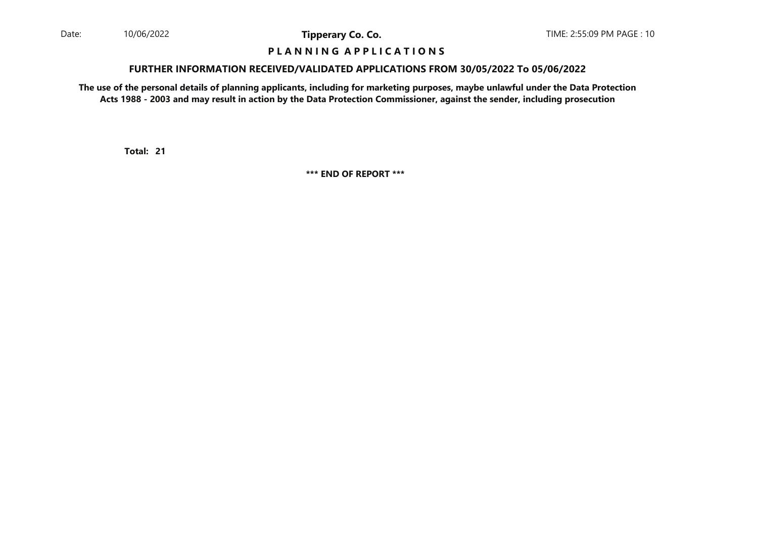### **P L A N N I N G A P P L I C A T I O N S**

#### **FURTHER INFORMATION RECEIVED/VALIDATED APPLICATIONS FROM 30/05/2022 To 05/06/2022**

**The use of the personal details of planning applicants, including for marketing purposes, maybe unlawful under the Data ProtectionActs 1988 - 2003 and may result in action by the Data Protection Commissioner, against the sender, including prosecution**

**21Total:**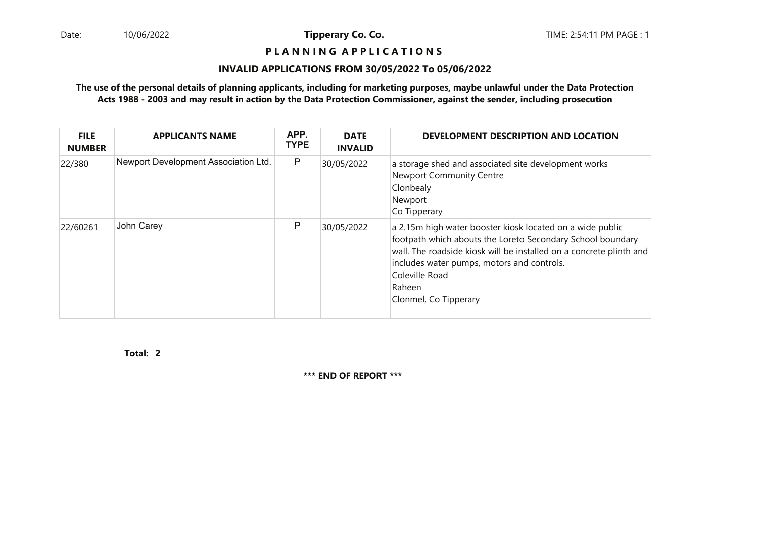### **P L A N N I N G A P P L I C A T I O N S**

### **INVALID APPLICATIONS FROM 30/05/2022 To 05/06/2022**

### **The use of the personal details of planning applicants, including for marketing purposes, maybe unlawful under the Data ProtectionActs 1988 - 2003 and may result in action by the Data Protection Commissioner, against the sender, including prosecution**

| <b>FILE</b><br><b>NUMBER</b> | <b>APPLICANTS NAME</b>               | APP.<br><b>TYPE</b> | <b>DATE</b><br><b>INVALID</b> | DEVELOPMENT DESCRIPTION AND LOCATION                                                                                                                                                                                                                                                              |
|------------------------------|--------------------------------------|---------------------|-------------------------------|---------------------------------------------------------------------------------------------------------------------------------------------------------------------------------------------------------------------------------------------------------------------------------------------------|
| 22/380                       | Newport Development Association Ltd. | P                   | 30/05/2022                    | a storage shed and associated site development works<br><b>Newport Community Centre</b><br>Clonbealy<br>Newport<br>Co Tipperary                                                                                                                                                                   |
| 22/60261                     | John Carey                           | P                   | 30/05/2022                    | a 2.15m high water booster kiosk located on a wide public<br>footpath which abouts the Loreto Secondary School boundary<br>wall. The roadside kiosk will be installed on a concrete plinth and<br>includes water pumps, motors and controls.<br>Coleville Road<br>Raheen<br>Clonmel, Co Tipperary |

**2Total:**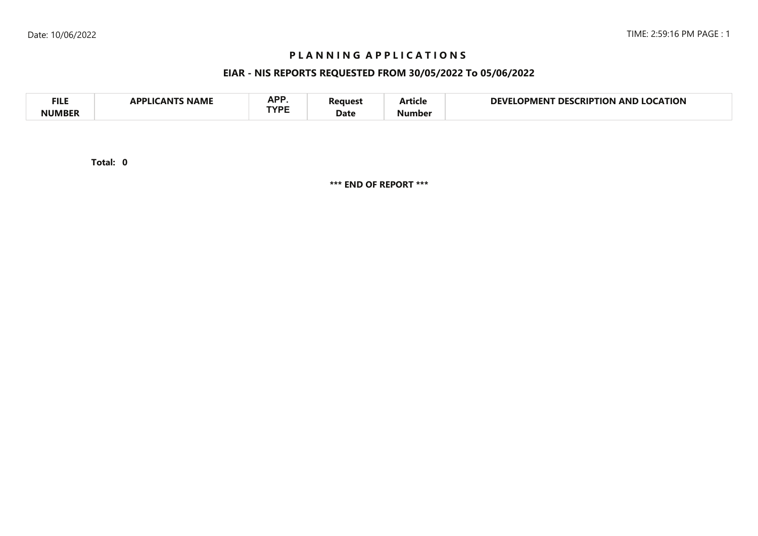### **P L A N N I N G A P P L I C A T I O N S**

## **EIAR - NIS REPORTS REQUESTED FROM 30/05/2022 To 05/06/2022**

| <b>FILE</b>   | <b>NAME</b><br>`A NIT<br>ADDI I <i>c</i> | A D D<br>AFI<br><b>TVDE</b> | ?eaues: | . .<br>Article | <b>LOCATION</b><br>DEVI<br>CRIPTION<br>DES.<br>AND<br>OPMENT |
|---------------|------------------------------------------|-----------------------------|---------|----------------|--------------------------------------------------------------|
| <b>NUMBER</b> |                                          |                             | Date    | Number         |                                                              |

**0Total:**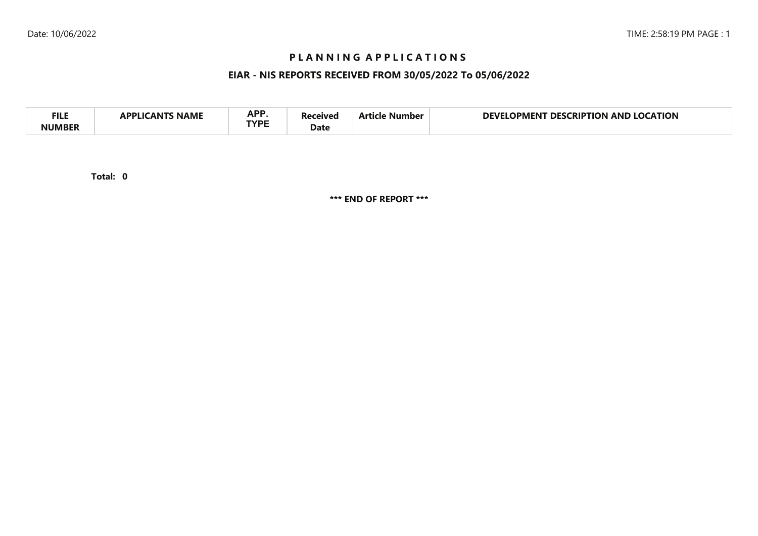## **P L A N N I N G A P P L I C A T I O N S**

## **EIAR - NIS REPORTS RECEIVED FROM 30/05/2022 To 05/06/2022**

| <b>APP</b><br><b>FILI</b><br><b>CATION</b><br>DEVI<br>AND<br>no<br>RIP.<br>ΓΙΩΝ<br>DES.<br>11701<br>Vumber<br>IPMEN I<br>NAML<br>TVDE<br>Date |  |
|-----------------------------------------------------------------------------------------------------------------------------------------------|--|
|-----------------------------------------------------------------------------------------------------------------------------------------------|--|

**0Total:**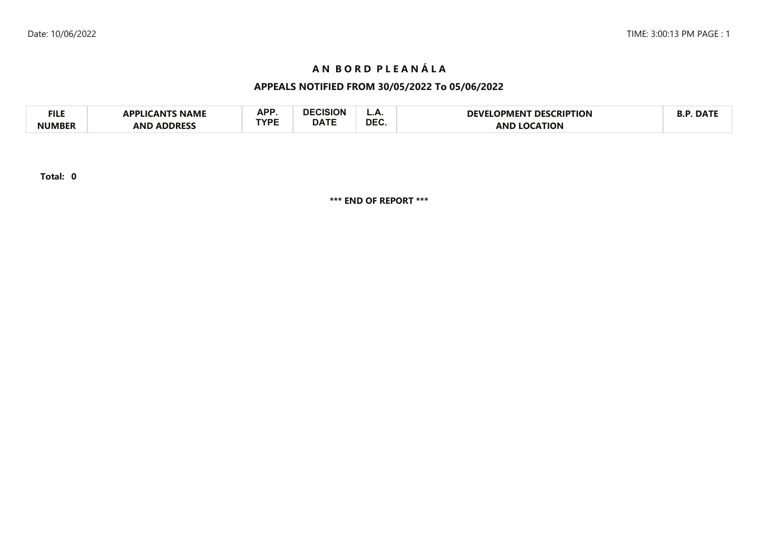# **A N B O R D P L E A N Á L A**

# **APPEALS NOTIFIED FROM 30/05/2022 To 05/06/2022**

| <b>FILE</b>  | <b>NAMI</b><br>חח<br>AN I | A DD        |             | <u>.</u>   | <b>RIPTION:</b><br>DFV<br>IPMFNI | 1 ) Д |
|--------------|---------------------------|-------------|-------------|------------|----------------------------------|-------|
| <b>NUMBE</b> | <b>ANF</b><br>∴DDRF ⊓     | rvoc<br>. . | <b>DATF</b> | <b>DEC</b> | <b>AN</b>                        |       |

**Total: 0**